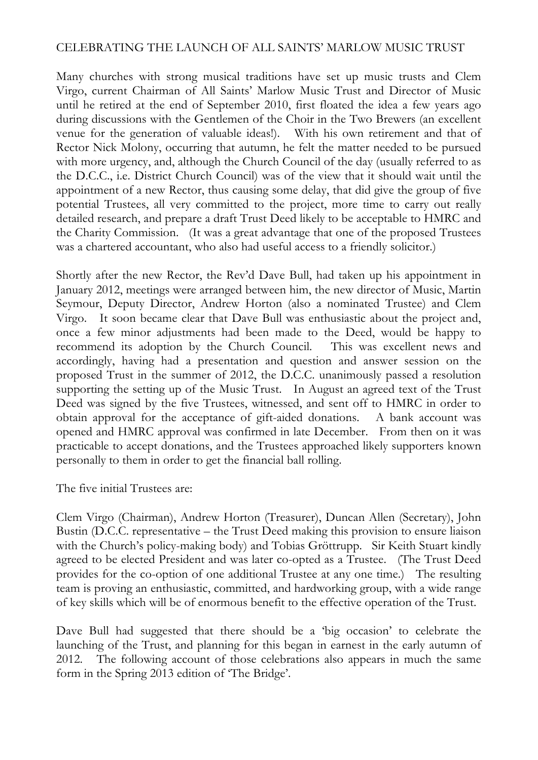## CELEBRATING THE LAUNCH OF ALL SAINTS' MARLOW MUSIC TRUST

Many churches with strong musical traditions have set up music trusts and Clem Virgo, current Chairman of All Saints' Marlow Music Trust and Director of Music until he retired at the end of September 2010, first floated the idea a few years ago during discussions with the Gentlemen of the Choir in the Two Brewers (an excellent venue for the generation of valuable ideas!). With his own retirement and that of Rector Nick Molony, occurring that autumn, he felt the matter needed to be pursued with more urgency, and, although the Church Council of the day (usually referred to as the D.C.C., i.e. District Church Council) was of the view that it should wait until the appointment of a new Rector, thus causing some delay, that did give the group of five potential Trustees, all very committed to the project, more time to carry out really detailed research, and prepare a draft Trust Deed likely to be acceptable to HMRC and the Charity Commission. (It was a great advantage that one of the proposed Trustees was a chartered accountant, who also had useful access to a friendly solicitor.)

Shortly after the new Rector, the Rev'd Dave Bull, had taken up his appointment in January 2012, meetings were arranged between him, the new director of Music, Martin Seymour, Deputy Director, Andrew Horton (also a nominated Trustee) and Clem Virgo. It soon became clear that Dave Bull was enthusiastic about the project and, once a few minor adjustments had been made to the Deed, would be happy to recommend its adoption by the Church Council. This was excellent news and accordingly, having had a presentation and question and answer session on the proposed Trust in the summer of 2012, the D.C.C. unanimously passed a resolution supporting the setting up of the Music Trust. In August an agreed text of the Trust Deed was signed by the five Trustees, witnessed, and sent off to HMRC in order to obtain approval for the acceptance of gift-aided donations. A bank account was opened and HMRC approval was confirmed in late December. From then on it was practicable to accept donations, and the Trustees approached likely supporters known personally to them in order to get the financial ball rolling.

The five initial Trustees are:

Clem Virgo (Chairman), Andrew Horton (Treasurer), Duncan Allen (Secretary), John Bustin (D.C.C. representative – the Trust Deed making this provision to ensure liaison with the Church's policy-making body) and Tobias Gröttrupp. Sir Keith Stuart kindly agreed to be elected President and was later co-opted as a Trustee. (The Trust Deed provides for the co-option of one additional Trustee at any one time.) The resulting team is proving an enthusiastic, committed, and hardworking group, with a wide range of key skills which will be of enormous benefit to the effective operation of the Trust.

Dave Bull had suggested that there should be a 'big occasion' to celebrate the launching of the Trust, and planning for this began in earnest in the early autumn of 2012. The following account of those celebrations also appears in much the same form in the Spring 2013 edition of 'The Bridge'.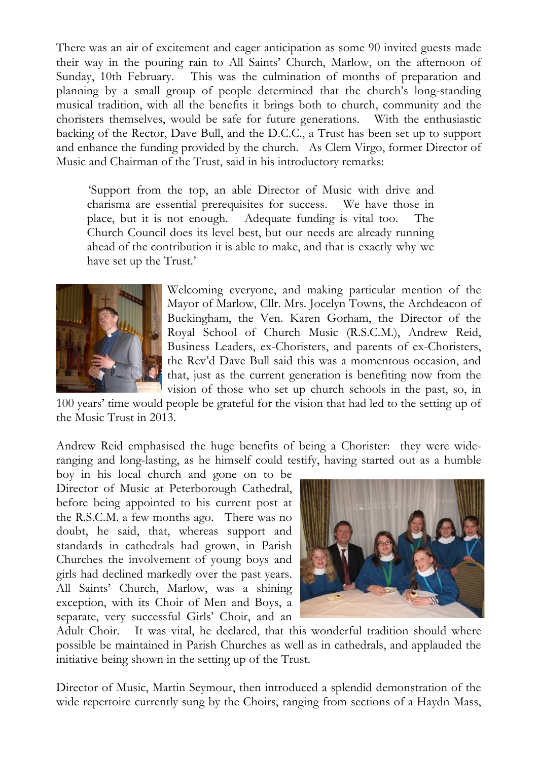There was an air of excitement and eager anticipation as some 90 invited guests made their way in the pouring rain to All Saints' Church, Marlow, on the afternoon of Sunday, 10th February. This was the culmination of months of preparation and planning by a small group of people determined that the church's long-standing musical tradition, with all the benefits it brings both to church, community and the choristers themselves, would be safe for future generations. With the enthusiastic backing of the Rector, Dave Bull, and the D.C.C., a Trust has been set up to support and enhance the funding provided by the church. As Clem Virgo, former Director of Music and Chairman of the Trust, said in his introductory remarks:

'Support from the top, an able Director of Music with drive and charisma are essential prerequisites for success. We have those in place, but it is not enough. Adequate funding is vital too. The Church Council does its level best, but our needs are already running ahead of the contribution it is able to make, and that is exactly why we have set up the Trust.'



Welcoming everyone, and making particular mention of the Mayor of Marlow, Cllr. Mrs. Jocelyn Towns, the Archdeacon of Buckingham, the Ven. Karen Gorham, the Director of the Royal School of Church Music (R.S.C.M.), Andrew Reid, Business Leaders, ex-Choristers, and parents of ex-Choristers, the Rev'd Dave Bull said this was a momentous occasion, and that, just as the current generation is benefiting now from the vision of those who set up church schools in the past, so, in

100 years' time would people be grateful for the vision that had led to the setting up of the Music Trust in 2013.

Andrew Reid emphasised the huge benefits of being a Chorister: they were wideranging and long-lasting, as he himself could testify, having started out as a humble

boy in his local church and gone on to be Director of Music at Peterborough Cathedral, before being appointed to his current post at the R.S.C.M. a few months ago. There was no doubt, he said, that, whereas support and standards in cathedrals had grown, in Parish Churches the involvement of young boys and girls had declined markedly over the past years. All Saints' Church, Marlow, was a shining exception, with its Choir of Men and Boys, a separate, very successful Girls' Choir, and an



Adult Choir. It was vital, he declared, that this wonderful tradition should where possible be maintained in Parish Churches as well as in cathedrals, and applauded the initiative being shown in the setting up of the Trust.

Director of Music, Martin Seymour, then introduced a splendid demonstration of the wide repertoire currently sung by the Choirs, ranging from sections of a Haydn Mass,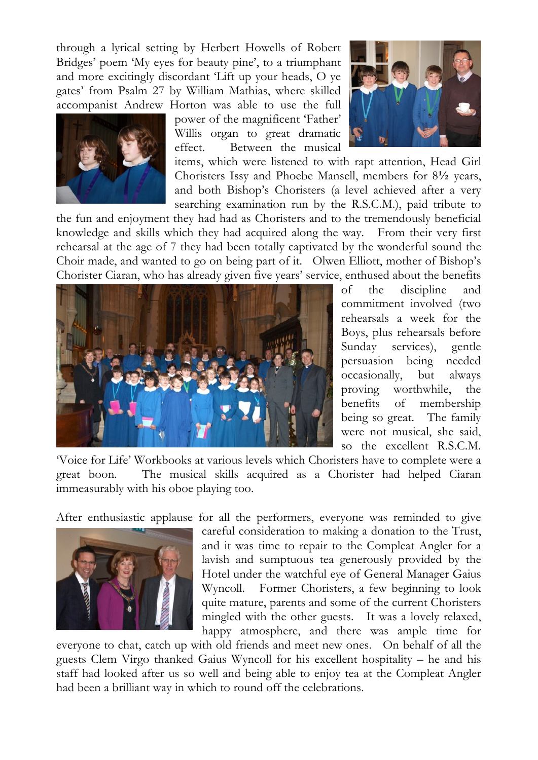through a lyrical setting by Herbert Howells of Robert Bridges' poem 'My eyes for beauty pine', to a triumphant and more excitingly discordant 'Lift up your heads, O ye gates' from Psalm 27 by William Mathias, where skilled accompanist Andrew Horton was able to use the full



power of the magnificent 'Father' Willis organ to great dramatic effect. Between the musical

items, which were listened to with rapt attention, Head Girl Choristers Issy and Phoebe Mansell, members for 8**½** years, and both Bishop's Choristers (a level achieved after a very searching examination run by the R.S.C.M.), paid tribute to

the fun and enjoyment they had had as Choristers and to the tremendously beneficial knowledge and skills which they had acquired along the way. From their very first rehearsal at the age of 7 they had been totally captivated by the wonderful sound the Choir made, and wanted to go on being part of it. Olwen Elliott, mother of Bishop's Chorister Ciaran, who has already given five years' service, enthused about the benefits



of the discipline and commitment involved (two rehearsals a week for the Boys, plus rehearsals before Sunday services), gentle persuasion being needed occasionally, but always proving worthwhile, the benefits of membership being so great. The family were not musical, she said, so the excellent R.S.C.M.

'Voice for Life' Workbooks at various levels which Choristers have to complete were a great boon. The musical skills acquired as a Chorister had helped Ciaran immeasurably with his oboe playing too.

After enthusiastic applause for all the performers, everyone was reminded to give



careful consideration to making a donation to the Trust, and it was time to repair to the Compleat Angler for a lavish and sumptuous tea generously provided by the Hotel under the watchful eye of General Manager Gaius Wyncoll. Former Choristers, a few beginning to look quite mature, parents and some of the current Choristers mingled with the other guests. It was a lovely relaxed, happy atmosphere, and there was ample time for

everyone to chat, catch up with old friends and meet new ones. On behalf of all the guests Clem Virgo thanked Gaius Wyncoll for his excellent hospitality – he and his staff had looked after us so well and being able to enjoy tea at the Compleat Angler had been a brilliant way in which to round off the celebrations.